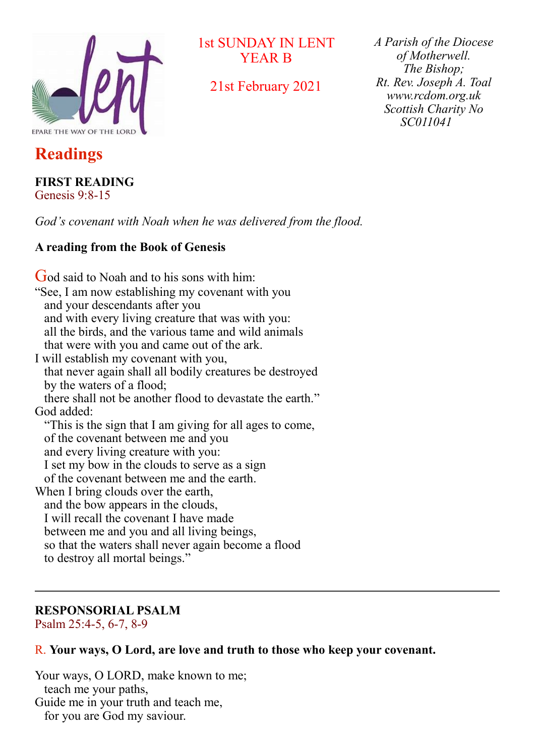

1st SUNDAY IN LENT YEAR B

21st February 2021

*A Parish of the Diocese of Motherwell. The Bishop; Rt. Rev. Joseph A. Toal www.rcdom.org.uk Scottish Charity No SC011041* 

## **Readings**

# **FIRST READING**

Genesis 9:8-15

*God's covenant with Noah when he was delivered from the flood.*

#### **A reading from the Book of Genesis**

God said to Noah and to his sons with him: "See, I am now establishing my covenant with you and your descendants after you and with every living creature that was with you: all the birds, and the various tame and wild animals that were with you and came out of the ark. I will establish my covenant with you, that never again shall all bodily creatures be destroyed by the waters of a flood; there shall not be another flood to devastate the earth." God added: "This is the sign that I am giving for all ages to come, of the covenant between me and you and every living creature with you: I set my bow in the clouds to serve as a sign of the covenant between me and the earth. When I bring clouds over the earth, and the bow appears in the clouds, I will recall the covenant I have made between me and you and all living beings, so that the waters shall never again become a flood to destroy all mortal beings."

#### **RESPONSORIAL PSALM**

Psalm 25:4-5, 6-7, 8-9

#### R. **Your ways, O Lord, are love and truth to those who keep your covenant.**

Your ways, O LORD, make known to me; teach me your paths, Guide me in your truth and teach me, for you are God my saviour.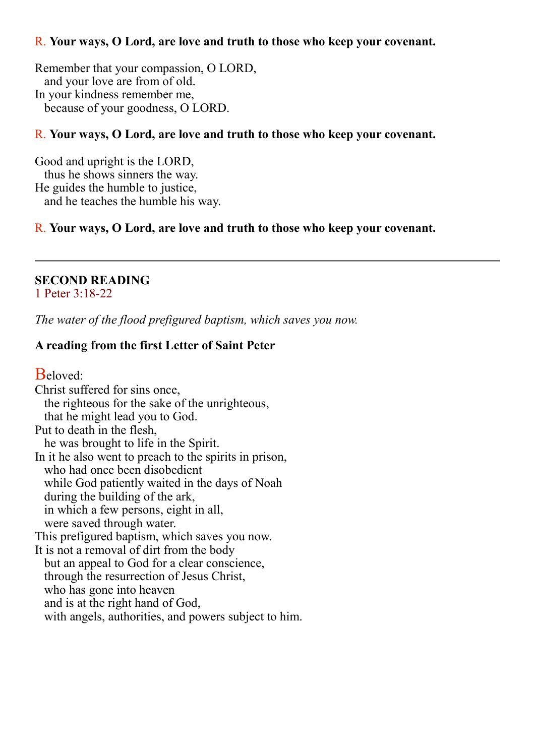#### R. **Your ways, O Lord, are love and truth to those who keep your covenant.**

Remember that your compassion, O LORD, and your love are from of old. In your kindness remember me, because of your goodness, O LORD.

#### R. **Your ways, O Lord, are love and truth to those who keep your covenant.**

Good and upright is the LORD, thus he shows sinners the way. He guides the humble to justice, and he teaches the humble his way.

#### R. **Your ways, O Lord, are love and truth to those who keep your covenant.**

#### **SECOND READING**

1 Peter 3:18-22

*The water of the flood prefigured baptism, which saves you now.*

#### **A reading from the first Letter of Saint Peter**

Beloved: Christ suffered for sins once, the righteous for the sake of the unrighteous, that he might lead you to God. Put to death in the flesh, he was brought to life in the Spirit. In it he also went to preach to the spirits in prison, who had once been disobedient while God patiently waited in the days of Noah during the building of the ark, in which a few persons, eight in all, were saved through water. This prefigured baptism, which saves you now. It is not a removal of dirt from the body but an appeal to God for a clear conscience, through the resurrection of Jesus Christ, who has gone into heaven and is at the right hand of God, with angels, authorities, and powers subject to him.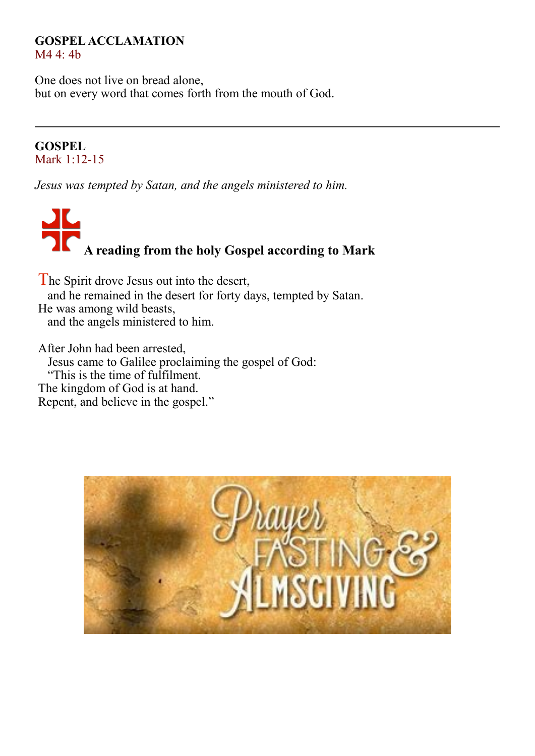#### **GOSPEL ACCLAMATION** M4 4: 4b

One does not live on bread alone, but on every word that comes forth from the mouth of God.

#### **GOSPEL** Mark 1:12-15

*Jesus was tempted by Satan, and the angels ministered to him.*

# **A reading from the holy Gospel according to Mark**

The Spirit drove Jesus out into the desert, and he remained in the desert for forty days, tempted by Satan. He was among wild beasts, and the angels ministered to him.

After John had been arrested, Jesus came to Galilee proclaiming the gospel of God: "This is the time of fulfilment. The kingdom of God is at hand. Repent, and believe in the gospel."

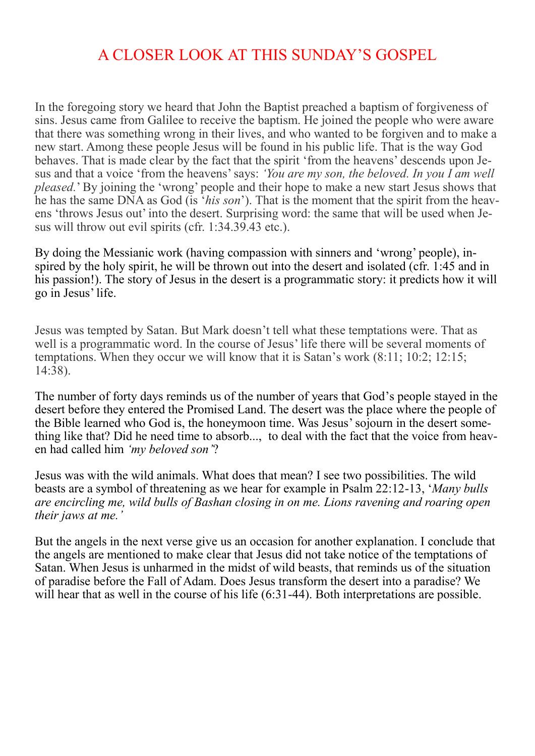### A CLOSER LOOK AT THIS SUNDAY'S GOSPEL

In the foregoing story we heard that John the Baptist preached a baptism of forgiveness of sins. Jesus came from Galilee to receive the baptism. He joined the people who were aware that there was something wrong in their lives, and who wanted to be forgiven and to make a new start. Among these people Jesus will be found in his public life. That is the way God behaves. That is made clear by the fact that the spirit 'from the heavens' descends upon Jesus and that a voice 'from the heavens' says: *'You are my son, the beloved. In you I am well pleased.*' By joining the 'wrong' people and their hope to make a new start Jesus shows that he has the same DNA as God (is '*his son*'). That is the moment that the spirit from the heavens 'throws Jesus out' into the desert. Surprising word: the same that will be used when Jesus will throw out evil spirits (cfr. 1:34.39.43 etc.).

By doing the Messianic work (having compassion with sinners and 'wrong' people), inspired by the holy spirit, he will be thrown out into the desert and isolated (cfr. 1:45 and in his passion!). The story of Jesus in the desert is a programmatic story: it predicts how it will go in Jesus' life.

Jesus was tempted by Satan. But Mark doesn't tell what these temptations were. That as well is a programmatic word. In the course of Jesus' life there will be several moments of temptations. When they occur we will know that it is Satan's work (8:11; 10:2; 12:15; 14:38).

The number of forty days reminds us of the number of years that God's people stayed in the desert before they entered the Promised Land. The desert was the place where the people of the Bible learned who God is, the honeymoon time. Was Jesus' sojourn in the desert something like that? Did he need time to absorb..., to deal with the fact that the voice from heaven had called him *'my beloved son'*?

Jesus was with the wild animals. What does that mean? I see two possibilities. The wild beasts are a symbol of threatening as we hear for example in Psalm 22:12-13, '*Many bulls are encircling me, wild bulls of Bashan closing in on me. Lions ravening and roaring open their jaws at me.'*

But the angels in the next verse give us an occasion for another explanation. I conclude that the angels are mentioned to make clear that Jesus did not take notice of the temptations of Satan. When Jesus is unharmed in the midst of wild beasts, that reminds us of the situation of paradise before the Fall of Adam. Does Jesus transform the desert into a paradise? We will hear that as well in the course of his life (6:31-44). Both interpretations are possible.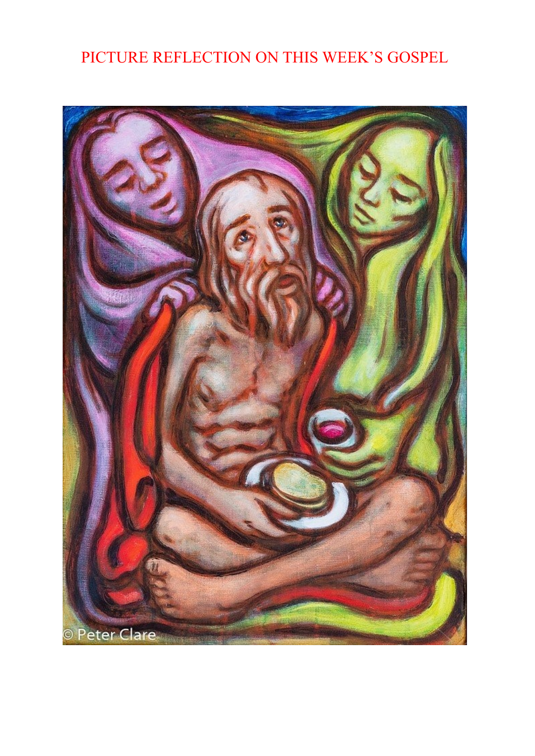## PICTURE REFLECTION ON THIS WEEK'S GOSPEL

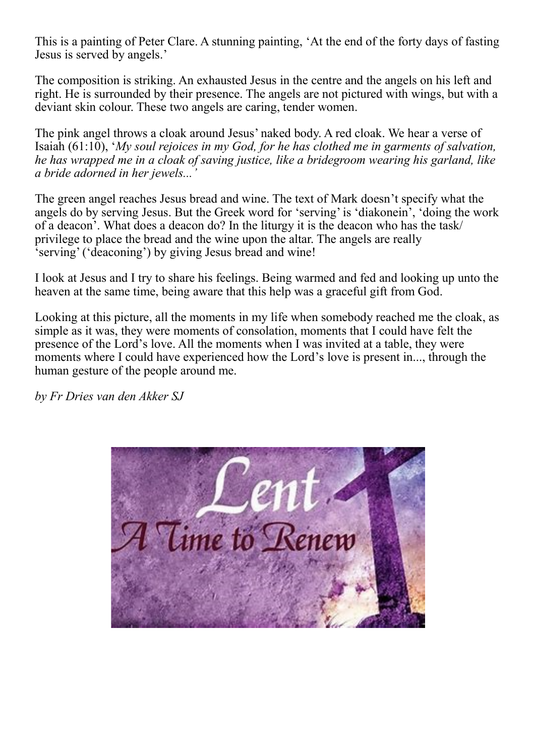This is a painting of Peter Clare. A stunning painting, 'At the end of the forty days of fasting Jesus is served by angels.'

The composition is striking. An exhausted Jesus in the centre and the angels on his left and right. He is surrounded by their presence. The angels are not pictured with wings, but with a deviant skin colour. These two angels are caring, tender women.

The pink angel throws a cloak around Jesus' naked body. A red cloak. We hear a verse of Isaiah (61:10), '*My soul rejoices in my God, for he has clothed me in garments of salvation, he has wrapped me in a cloak of saving justice, like a bridegroom wearing his garland, like a bride adorned in her jewels...'*

The green angel reaches Jesus bread and wine. The text of Mark doesn't specify what the angels do by serving Jesus. But the Greek word for 'serving' is 'diakonein', 'doing the work of a deacon'. What does a deacon do? In the liturgy it is the deacon who has the task/ privilege to place the bread and the wine upon the altar. The angels are really 'serving' ('deaconing') by giving Jesus bread and wine!

I look at Jesus and I try to share his feelings. Being warmed and fed and looking up unto the heaven at the same time, being aware that this help was a graceful gift from God.

Looking at this picture, all the moments in my life when somebody reached me the cloak, as simple as it was, they were moments of consolation, moments that I could have felt the presence of the Lord's love. All the moments when I was invited at a table, they were moments where I could have experienced how the Lord's love is present in..., through the human gesture of the people around me.

*by Fr Dries van den Akker SJ*

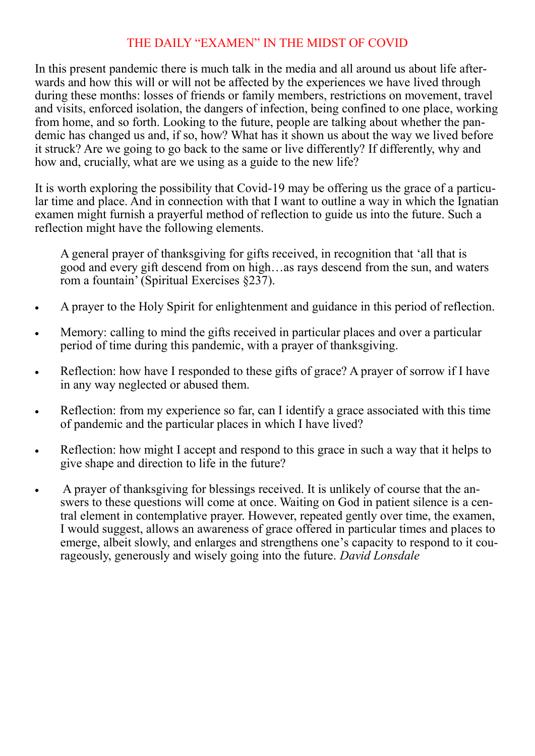#### THE DAILY "EXAMEN" IN THE MIDST OF COVID

In this present pandemic there is much talk in the media and all around us about life afterwards and how this will or will not be affected by the experiences we have lived through during these months: losses of friends or family members, restrictions on movement, travel and visits, enforced isolation, the dangers of infection, being confined to one place, working from home, and so forth. Looking to the future, people are talking about whether the pandemic has changed us and, if so, how? What has it shown us about the way we lived before it struck? Are we going to go back to the same or live differently? If differently, why and how and, crucially, what are we using as a guide to the new life?

It is worth exploring the possibility that Covid-19 may be offering us the grace of a particular time and place. And in connection with that I want to outline a way in which the Ignatian examen might furnish a prayerful method of reflection to guide us into the future. Such a reflection might have the following elements.

A general prayer of thanksgiving for gifts received, in recognition that 'all that is good and every gift descend from on high…as rays descend from the sun, and waters rom a fountain' (Spiritual Exercises §237).

- A prayer to the Holy Spirit for enlightenment and guidance in this period of reflection.
- Memory: calling to mind the gifts received in particular places and over a particular period of time during this pandemic, with a prayer of thanksgiving.
- Reflection: how have I responded to these gifts of grace? A prayer of sorrow if I have in any way neglected or abused them.
- Reflection: from my experience so far, can I identify a grace associated with this time of pandemic and the particular places in which I have lived?
- Reflection: how might I accept and respond to this grace in such a way that it helps to give shape and direction to life in the future?
- A prayer of thanksgiving for blessings received. It is unlikely of course that the answers to these questions will come at once. Waiting on God in patient silence is a central element in contemplative prayer. However, repeated gently over time, the examen, I would suggest, allows an awareness of grace offered in particular times and places to emerge, albeit slowly, and enlarges and strengthens one's capacity to respond to it courageously, generously and wisely going into the future. *David Lonsdale*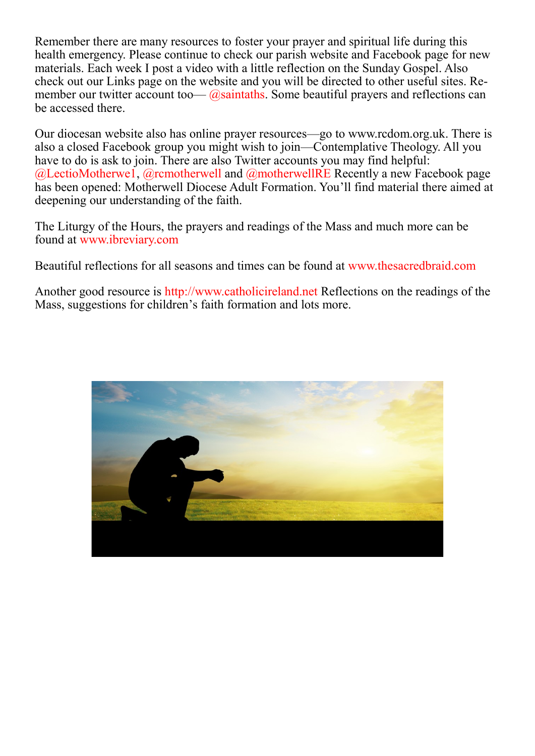Remember there are many resources to foster your prayer and spiritual life during this health emergency. Please continue to check our parish website and Facebook page for new materials. Each week I post a video with a little reflection on the Sunday Gospel. Also check out our Links page on the website and you will be directed to other useful sites. Remember our twitter account too—  $\omega$ saintaths. Some beautiful prayers and reflections can be accessed there.

Our diocesan website also has online prayer resources—go to www.rcdom.org.uk. There is also a closed Facebook group you might wish to join—Contemplative Theology. All you have to do is ask to join. There are also Twitter accounts you may find helpful:  $@$ LectioMotherwe1,  $@$ rcmotherwell and  $@$ motherwellRE Recently a new Facebook page has been opened: Motherwell Diocese Adult Formation. You'll find material there aimed at deepening our understanding of the faith.

The Liturgy of the Hours, the prayers and readings of the Mass and much more can be found at www.ibreviary.com

Beautiful reflections for all seasons and times can be found at www.thesacredbraid.com

Another good resource is http://www.catholicireland.net Reflections on the readings of the Mass, suggestions for children's faith formation and lots more.